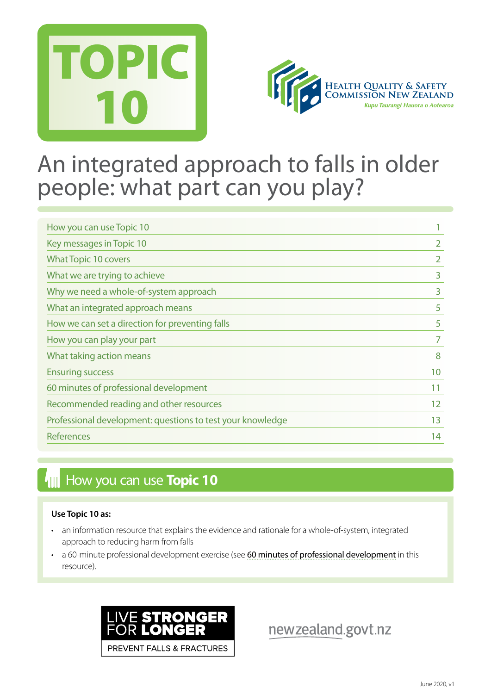



## An integrated approach to falls in older people: what part can you play?

| How you can use Topic 10                                   |                |
|------------------------------------------------------------|----------------|
| Key messages in Topic 10                                   | 2              |
| <b>What Topic 10 covers</b>                                | $\overline{2}$ |
| What we are trying to achieve                              | 3              |
| Why we need a whole-of-system approach                     | 3              |
| What an integrated approach means                          | 5              |
| How we can set a direction for preventing falls            | 5              |
| How you can play your part                                 | 7              |
| What taking action means                                   | 8              |
| <b>Ensuring success</b>                                    | 10             |
| 60 minutes of professional development                     | 11             |
| Recommended reading and other resources                    | 12             |
| Professional development: questions to test your knowledge | 13             |
| <b>References</b>                                          | 14             |

## **How you can use Topic 10**

#### **Use Topic 10 as:**

- an information resource that explains the evidence and rationale for a whole-of-system, integrated approach to reducing harm from falls
- a 60-minute professional development exercise (see [60 minutes of professional development](#page-9-0) in this resource).



newzealand.govt.nz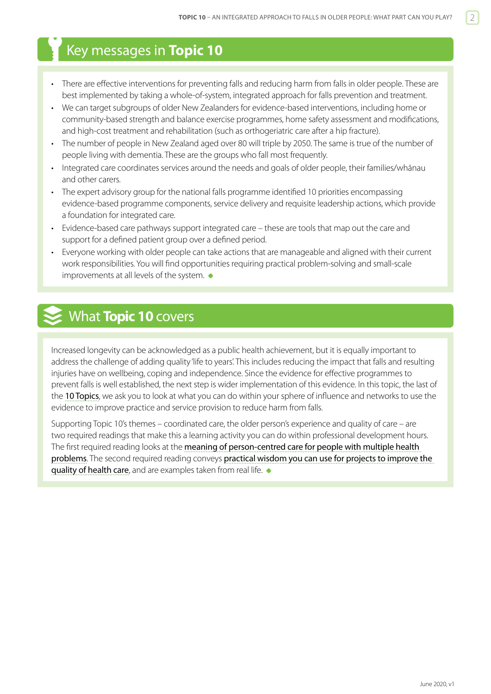## <span id="page-1-0"></span>Key messages in **Topic 10**

- There are effective interventions for preventing falls and reducing harm from falls in older people. These are best implemented by taking a whole-of-system, integrated approach for falls prevention and treatment.
- We can target subgroups of older New Zealanders for evidence-based interventions, including home or community-based strength and balance exercise programmes, home safety assessment and modifications, and high-cost treatment and rehabilitation (such as orthogeriatric care after a hip fracture).
- The number of people in New Zealand aged over 80 will triple by 2050. The same is true of the number of people living with dementia. These are the groups who fall most frequently.
- Integrated care coordinates services around the needs and goals of older people, their families/whānau and other carers.
- The expert advisory group for the national falls programme identified 10 priorities encompassing evidence-based programme components, service delivery and requisite leadership actions, which provide a foundation for integrated care.
- Evidence-based care pathways support integrated care these are tools that map out the care and support for a defined patient group over a defined period.
- Everyone working with older people can take actions that are manageable and aligned with their current work responsibilities. You will find opportunities requiring practical problem-solving and small-scale improvements at all levels of the system.  $\bullet$

## What **Topic 10** covers

Increased longevity can be acknowledged as a public health achievement, but it is equally important to address the challenge of adding quality 'life to years'. This includes reducing the impact that falls and resulting injuries have on wellbeing, coping and independence. Since the evidence for effective programmes to prevent falls is well established, the next step is wider implementation of this evidence. In this topic, the last of the [10 Topics](http://www.hqsc.govt.nz/our-programmes/reducing-harm-from-falls/10-topics/), we ask you to look at what you can do within your sphere of influence and networks to use the evidence to improve practice and service provision to reduce harm from falls.

Supporting Topic 10's themes – coordinated care, the older person's experience and quality of care – are two required readings that make this a learning activity you can do within professional development hours. The first required reading looks at the meaning of person-centred care for people with multiple health [problems](https://pdfs.semanticscholar.org/a55c/99a7d3ad5a94b77c8ae170718757a81a054c.pdf). The second required reading conveys [practical wisdom you can use for projects to improve the](http://qualitysafety.bmj.com/content/21/10/876.full?keytype=ref&siteid=bmjjournals&ijkey=DcobUFjejK0YA)  [quality of health care](http://qualitysafety.bmj.com/content/21/10/876.full?keytype=ref&siteid=bmjjournals&ijkey=DcobUFjejK0YA), and are examples taken from real life.  $\bullet$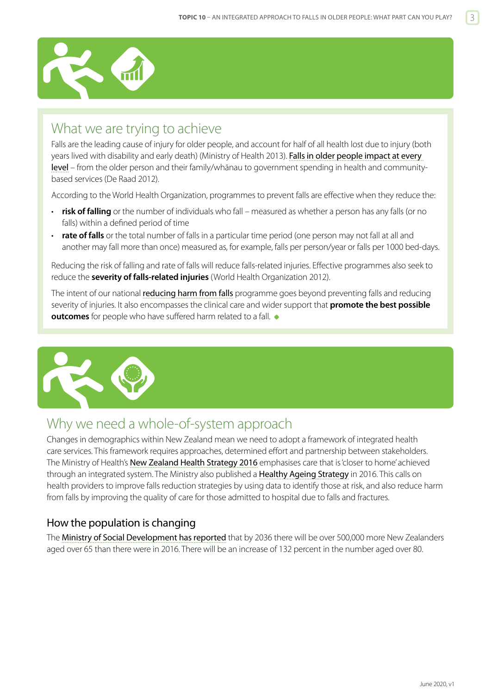<span id="page-2-0"></span>

## What we are trying to achieve

Falls are the leading cause of injury for older people, and account for half of all health lost due to injury (both years lived with disability and early death) (Ministry of Health 2013). Falls in older people impact at every [level](https://www.hqsc.govt.nz/our-programmes/reducing-harm-from-falls/publications-and-resources/publication/2871/) – from the older person and their family/whānau to government spending in health and communitybased services (De Raad 2012).

According to the World Health Organization, programmes to prevent falls are effective when they reduce the:

- **risk of falling** or the number of individuals who fall measured as whether a person has any falls (or no falls) within a defined period of time
- **rate of falls** or the total number of falls in a particular time period (one person may not fall at all and another may fall more than once) measured as, for example, falls per person/year or falls per 1000 bed-days.

Reducing the risk of falling and rate of falls will reduce falls-related injuries. Effective programmes also seek to reduce the **severity of falls-related injuries** (World Health Organization 2012).

The intent of our national **r[educing harm from falls](http://www.hqsc.govt.nz/our-programmes/reducing-harm-from-falls/)** programme goes beyond preventing falls and reducing severity of injuries. It also encompasses the clinical care and wider support that **promote the best possible outcomes** for people who have suffered harm related to a fall.  $\bullet$ 



## Why we need a whole-of-system approach

Changes in demographics within New Zealand mean we need to adopt a framework of integrated health care services. This framework requires approaches, determined effort and partnership between stakeholders. The Ministry of Health's [New Zealand Health Strategy 2016](http://www.health.govt.nz/publication/new-zealand-health-strategy-2016) emphasises care that is 'closer to home' achieved through an integrated system. The Ministry also published a [Healthy Ageing Strategy](https://www.health.govt.nz/publication/healthy-ageing-strategy) in 2016. This calls on health providers to improve falls reduction strategies by using data to identify those at risk, and also reduce harm from falls by improving the quality of care for those admitted to hospital due to falls and fractures.

#### How the population is changing

The [Ministry of Social Development has reported](http://www.superseniors.msd.govt.nz/about-superseniors/media/key-statistics.html) that by 2036 there will be over 500,000 more New Zealanders aged over 65 than there were in 2016. There will be an increase of 132 percent in the number aged over 80.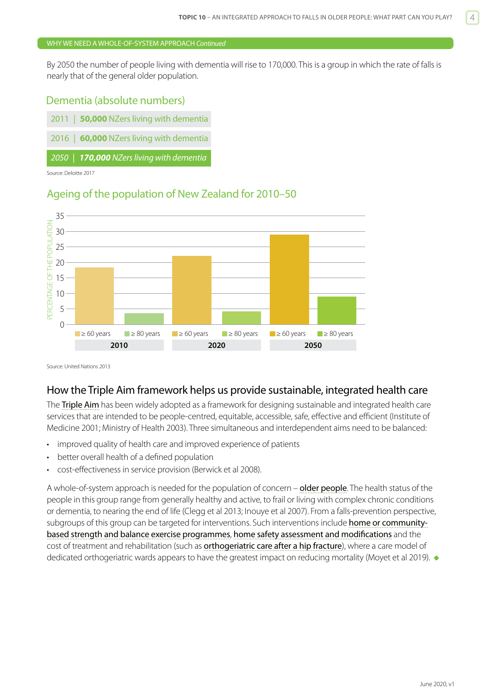#### WHY WE NEED A WHOLE-OF-SYSTEM APPROACH *Continued*

By 2050 the number of people living with dementia will rise to 170,000. This is a group in which the rate of falls is nearly that of the general older population.

#### Dementia (absolute numbers)

| 2011   <b>50,000</b> NZers living with dementia |
|-------------------------------------------------|
| 2016   60,000 NZers living with dementia        |
| 2050   170,000 NZers living with dementia       |

Source: Deloitte 2017

#### Ageing of the population of New Zealand for 2010–50



Source: United Nations 2013

#### How the Triple Aim framework helps us provide sustainable, integrated health care

The [Triple Aim](http://www.ihi.org/engage/initiatives/TripleAim/Pages/default.aspx) has been widely adopted as a framework for designing sustainable and integrated health care services that are intended to be people-centred, equitable, accessible, safe, effective and efficient (Institute of Medicine 2001; Ministry of Health 2003). Three simultaneous and interdependent aims need to be balanced:

- improved quality of health care and improved experience of patients
- better overall health of a defined population
- cost-effectiveness in service provision (Berwick et al 2008).

A whole-of-system approach is needed for the population of concern – [older people](http://www.health.govt.nz/publication/healthy-ageing-strategy). The health status of the people in this group range from generally healthy and active, to frail or living with complex chronic conditions or dementia, to nearing the end of life (Clegg et al 2013; Inouye et al 2007). From a falls-prevention perspective, subgroups of this group can be targeted for interventions. Such interventions include [home or community](https://www.hqsc.govt.nz/our-programmes/reducing-harm-from-falls/publications-and-resources/publication/2882)[based strength and balance exercise programmes](https://www.hqsc.govt.nz/our-programmes/reducing-harm-from-falls/publications-and-resources/publication/2882), [home safety assessment and modifications](https://www.hqsc.govt.nz/our-programmes/reducing-harm-from-falls/publications-and-resources/publication/2875) and the cost of treatment and rehabilitation (such as **[orthogeriatric care after a hip fracture](https://www.hqsc.govt.nz/our-programmes/reducing-harm-from-falls/publications-and-resources/publication/2878)**), where a care model of dedicated orthogeriatric wards appears to have the greatest impact on reducing mortality (Moyet et al 2019).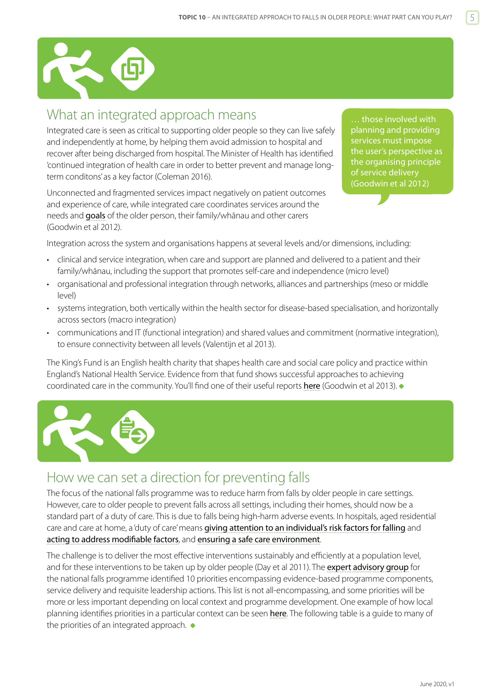<span id="page-4-0"></span>

## What an integrated approach means

Integrated care is seen as critical to supporting older people so they can live safely and independently at home, by helping them avoid admission to hospital and recover after being discharged from hospital. The Minister of Health has identified 'continued integration of health care in order to better prevent and manage longterm conditons' as a key factor (Coleman 2016).

Unconnected and fragmented services impact negatively on patient outcomes and experience of care, while integrated care coordinates services around the needs and [goals](https://pdfs.semanticscholar.org/a55c/99a7d3ad5a94b77c8ae170718757a81a054c.pdf) of the older person, their family/whānau and other carers (Goodwin et al 2012).

… those involved with planning and providing services must impose the user's perspective as the organising principle of service delivery (Goodwin et al 2012)

Integration across the system and organisations happens at several levels and/or dimensions, including:

- clinical and service integration, when care and support are planned and delivered to a patient and their family/whānau, including the support that promotes self-care and independence (micro level)
- organisational and professional integration through networks, alliances and partnerships (meso or middle level)
- systems integration, both vertically within the health sector for disease-based specialisation, and horizontally across sectors (macro integration)
- communications and IT (functional integration) and shared values and commitment (normative integration), to ensure connectivity between all levels (Valentijn et al 2013).

The King's Fund is an English health charity that shapes health care and social care policy and practice within England's National Health Service. Evidence from that fund shows successful approaches to achieving coordinated care in the community. You'll find one of their useful reports [here](https://www.kingsfund.org.uk/publications/co-ordinated-care-people-complex-chronic-conditions) (Goodwin et al 2013).



## How we can set a direction for preventing falls

The focus of the national falls programme was to reduce harm from falls by older people in care settings. However, care to older people to prevent falls across all settings, including their homes, should now be a standard part of a duty of care. This is due to falls being high-harm adverse events. In hospitals, aged residential care and care at home, a 'duty of care' means [giving attention to an individual's risk factors for falling](https://www.hqsc.govt.nz/our-programmes/reducing-harm-from-falls/publications-and-resources/publication/2874) and [acting to address modifiable factors](https://www.hqsc.govt.nz/our-programmes/reducing-harm-from-falls/publications-and-resources/publication/2891), and [ensuring a safe care environment](https://www.hqsc.govt.nz/our-programmes/reducing-harm-from-falls/publications-and-resources/publication/2875).

The challenge is to deliver the most effective interventions sustainably and efficiently at a population level, and for these interventions to be taken up by older people (Day et al 2011). The [expert advisory group](http://www.hqsc.govt.nz/our-programmes/reducing-harm-from-falls/about-us/expert-advisory-group/) for the national falls programme identified 10 priorities encompassing evidence-based programme components, service delivery and requisite leadership actions. This list is not all-encompassing, and some priorities will be more or less important depending on local context and programme development. One example of how local planning identifies priorities in a particular context can be seen [here](https://www.hqsc.govt.nz/our-programmes/reducing-harm-from-falls/publications-and-resources/publication/2884). The following table is a quide to many of the priorities of an integrated approach.  $\bullet$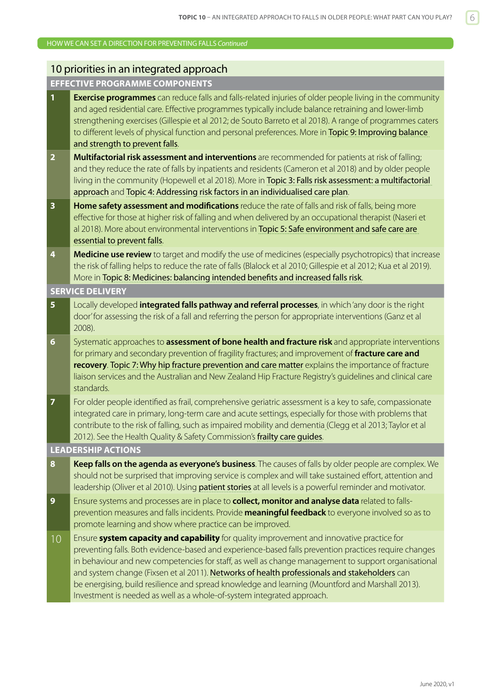#### HOW WE CAN SET A DIRECTION FOR PREVENTING FALLS *Continued*

### 10 priorities in an integrated approach

## **EFFECTIVE PROGRAMME COMPONENTS**

| $\overline{1}$          | <b>Exercise programmes</b> can reduce falls and falls-related injuries of older people living in the community<br>and aged residential care. Effective programmes typically include balance retraining and lower-limb<br>strengthening exercises (Gillespie et al 2012; de Souto Barreto et al 2018). A range of programmes caters<br>to different levels of physical function and personal preferences. More in Topic 9: Improving balance<br>and strength to prevent falls.                                                                                                           |
|-------------------------|-----------------------------------------------------------------------------------------------------------------------------------------------------------------------------------------------------------------------------------------------------------------------------------------------------------------------------------------------------------------------------------------------------------------------------------------------------------------------------------------------------------------------------------------------------------------------------------------|
| $\overline{2}$          | Multifactorial risk assessment and interventions are recommended for patients at risk of falling;<br>and they reduce the rate of falls by inpatients and residents (Cameron et al 2018) and by older people<br>living in the community (Hopewell et al 2018). More in Topic 3: Falls risk assessment: a multifactorial<br>approach and Topic 4: Addressing risk factors in an individualised care plan.                                                                                                                                                                                 |
| $\overline{\mathbf{3}}$ | Home safety assessment and modifications reduce the rate of falls and risk of falls, being more<br>effective for those at higher risk of falling and when delivered by an occupational therapist (Naseri et<br>al 2018). More about environmental interventions in Topic 5: Safe environment and safe care are<br>essential to prevent falls.                                                                                                                                                                                                                                           |
| 4                       | Medicine use review to target and modify the use of medicines (especially psychotropics) that increase<br>the risk of falling helps to reduce the rate of falls (Blalock et al 2010; Gillespie et al 2012; Kua et al 2019).<br>More in Topic 8: Medicines: balancing intended benefits and increased falls risk.                                                                                                                                                                                                                                                                        |
|                         | <b>SERVICE DELIVERY</b>                                                                                                                                                                                                                                                                                                                                                                                                                                                                                                                                                                 |
| $5\phantom{a}$          | Locally developed <i>integrated falls pathway and referral processes</i> , in which 'any door is the right<br>door' for assessing the risk of a fall and referring the person for appropriate interventions (Ganz et al<br>2008).                                                                                                                                                                                                                                                                                                                                                       |
| $6\phantom{1}$          | Systematic approaches to <b>assessment of bone health and fracture risk</b> and appropriate interventions<br>for primary and secondary prevention of fragility fractures; and improvement of fracture care and<br>recovery. Topic 7: Why hip fracture prevention and care matter explains the importance of fracture<br>liaison services and the Australian and New Zealand Hip Fracture Registry's guidelines and clinical care<br>standards.                                                                                                                                          |
| $\overline{7}$          | For older people identified as frail, comprehensive geriatric assessment is a key to safe, compassionate<br>integrated care in primary, long-term care and acute settings, especially for those with problems that<br>contribute to the risk of falling, such as impaired mobility and dementia (Clegg et al 2013; Taylor et al<br>2012). See the Health Quality & Safety Commission's frailty care guides.                                                                                                                                                                             |
|                         | <b>LEADERSHIP ACTIONS</b>                                                                                                                                                                                                                                                                                                                                                                                                                                                                                                                                                               |
| 8                       | Keep falls on the agenda as everyone's business. The causes of falls by older people are complex. We<br>should not be surprised that improving service is complex and will take sustained effort, attention and<br>leadership (Oliver et al 2010). Using <b>patient stories</b> at all levels is a powerful reminder and motivator.                                                                                                                                                                                                                                                     |
| 9                       | Ensure systems and processes are in place to <b>collect, monitor and analyse data</b> related to falls-<br>prevention measures and falls incidents. Provide <b>meaningful feedback</b> to everyone involved so as to<br>promote learning and show where practice can be improved.                                                                                                                                                                                                                                                                                                       |
| 10 <sup>°</sup>         | Ensure system capacity and capability for quality improvement and innovative practice for<br>preventing falls. Both evidence-based and experience-based falls prevention practices require changes<br>in behaviour and new competencies for staff, as well as change management to support organisational<br>and system change (Fixsen et al 2011). Networks of health professionals and stakeholders can<br>be energising, build resilience and spread knowledge and learning (Mountford and Marshall 2013).<br>Investment is needed as well as a whole-of-system integrated approach. |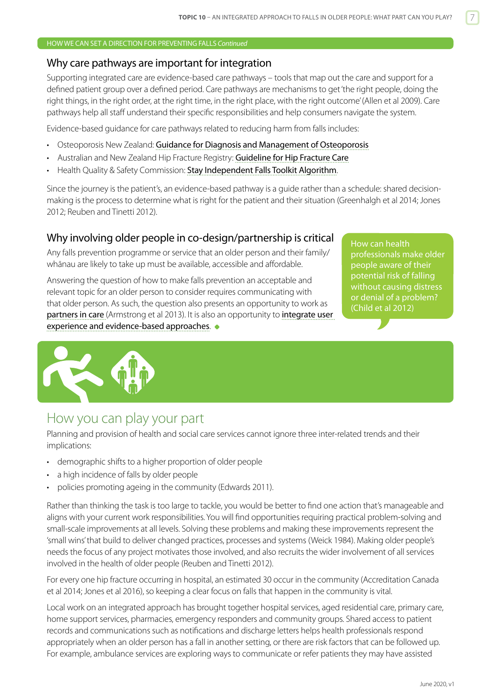#### <span id="page-6-0"></span>HOW WE CAN SET A DIRECTION FOR PREVENTING FALLS *Continued*

#### Why care pathways are important for integration

Supporting integrated care are evidence-based care pathways – tools that map out the care and support for a defined patient group over a defined period. Care pathways are mechanisms to get 'the right people, doing the right things, in the right order, at the right time, in the right place, with the right outcome' (Allen et al 2009). Care pathways help all staff understand their specific responsibilities and help consumers navigate the system.

Evidence-based guidance for care pathways related to reducing harm from falls includes:

- Osteoporosis New Zealand: [Guidance for Diagnosis and Management of Osteoporosis](https://osteoporosis.org.nz/resources/health-professionals/clinical-guidance/)
- Australian and New Zealand Hip Fracture Registry: [Guideline for Hip Fracture Care](http://anzhfr.org/guidelines-and-standards/)
- Health Quality & Safety Commission: [Stay Independent Falls Toolkit Algorithm](http://www.hqsc.govt.nz/our-programmes/reducing-harm-from-falls/publications-and-resources/publication/2232/).

Since the journey is the patient's, an evidence-based pathway is a guide rather than a schedule: shared decisionmaking is the process to determine what is right for the patient and their situation (Greenhalgh et al 2014; Jones 2012; Reuben and Tinetti 2012).

#### Why involving older people in co-design/partnership is critical

Any falls prevention programme or service that an older person and their family/ whānau are likely to take up must be available, accessible and affordable.

Answering the question of how to make falls prevention an acceptable and relevant topic for an older person to consider requires communicating with that older person. As such, the question also presents an opportunity to work as [partners in care](http://www.hqsc.govt.nz/our-programmes/consumer-engagement/work-streams/leadership-capability/co-design-partners-in-care/) (Armstrong et al 2013). It is also an opportunity to [integrate user](http://www.smallfire.co.nz/2014/01/25/integrating-user-experience-and-evidence-based-approaches-to-design/)  [experience and evidence-based approaches](http://www.smallfire.co.nz/2014/01/25/integrating-user-experience-and-evidence-based-approaches-to-design/).

How can health professionals make older people aware of their potential risk of falling without causing distress or denial of a problem? (Child et al 2012)



### How you can play your part

Planning and provision of health and social care services cannot ignore three inter-related trends and their implications:

- demographic shifts to a higher proportion of older people
- a high incidence of falls by older people
- policies promoting ageing in the community (Edwards 2011).

Rather than thinking the task is too large to tackle, you would be better to find one action that's manageable and aligns with your current work responsibilities. You will find opportunities requiring practical problem-solving and small-scale improvements at all levels. Solving these problems and making these improvements represent the 'small wins' that build to deliver changed practices, processes and systems (Weick 1984). Making older people's needs the focus of any project motivates those involved, and also recruits the wider involvement of all services involved in the health of older people (Reuben and Tinetti 2012).

For every one hip fracture occurring in hospital, an estimated 30 occur in the community (Accreditation Canada et al 2014; Jones et al 2016), so keeping a clear focus on falls that happen in the community is vital.

Local work on an integrated approach has brought together hospital services, aged residential care, primary care, home support services, pharmacies, emergency responders and community groups. Shared access to patient records and communications such as notifications and discharge letters helps health professionals respond appropriately when an older person has a fall in another setting, or there are risk factors that can be followed up. For example, ambulance services are exploring ways to communicate or refer patients they may have assisted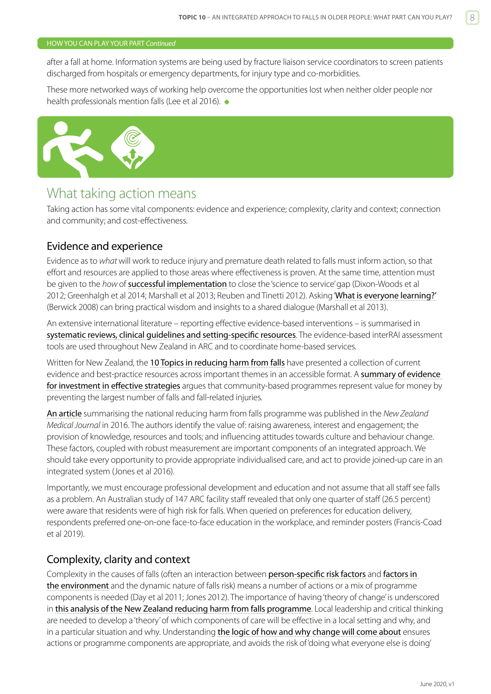#### <span id="page-7-0"></span>HOW YOU CAN PLAY YOUR PART *Continued*

after a fall at home. Information systems are being used by fracture liaison service coordinators to screen patients discharged from hospitals or emergency departments, for injury type and co-morbidities.

These more networked ways of working help overcome the opportunities lost when neither older people nor health professionals mention falls (Lee et al 2016).  $\bullet$ 



## What taking action means

Taking action has some vital components: evidence and experience; complexity, clarity and context; connection and community; and cost-effectiveness.

#### Evidence and experience

Evidence as to *what* will work to reduce injury and premature death related to falls must inform action, so that effort and resources are applied to those areas where effectiveness is proven. At the same time, attention must be given to the *how*of [successful implementation](http://qualitysafety.bmj.com/content/21/10/876.full?keytype=ref&siteid=bmjjournals&ijkey=DcobUFjejK0YA) to close the 'science to service' gap (Dixon-Woods et al 2012; Greenhalgh et al 2014; Marshall et al 2013; Reuben and Tinetti 2012). Asking '[What is everyone learning?](http://www.hqsc.govt.nz/our-programmes/reducing-harm-from-falls/publications-and-resources/publication/1446/)' (Berwick 2008) can bring practical wisdom and insights to a shared dialogue (Marshall et al 2013).

An extensive international literature – reporting effective evidence-based interventions – is summarised in [systematic reviews, clinical guidelines and setting-specific resources](https://www.hqsc.govt.nz/our-programmes/reducing-harm-from-falls/publications-and-resources/publication/2889/). The evidence-based interRAI assessment tools are used throughout New Zealand in ARC and to coordinate home-based services.

Written for New Zealand, the [10 Topics in reducing harm from falls](http://www.hqsc.govt.nz/our-programmes/reducing-harm-from-falls/10-topics/) have presented a collection of current evidence and best-practice resources across important themes in an accessible format. A **summary of evidence** [for investment in effective strategies](http://www.hqsc.govt.nz/assets/Falls/PR/Falling-costs-case-for-investment-summary-May-2013.pdf) argues that community-based programmes represent value for money by preventing the largest number of falls and fall-related injuries.

[An article](https://global-uploads.webflow.com/5e332a62c703f653182faf47/5e332a62c703f652292fd053_Shuker%20FINAL.pdf) summarising the national reducing harm from falls programme was published in the *New Zealand Medical Journal* in 2016. The authors identify the value of: raising awareness, interest and engagement; the provision of knowledge, resources and tools; and influencing attitudes towards culture and behaviour change. These factors, coupled with robust measurement are important components of an integrated approach. We should take every opportunity to provide appropriate individualised care, and act to provide joined-up care in an integrated system (Jones et al 2016).

Importantly, we must encourage professional development and education and not assume that all staff see falls as a problem. An Australian study of 147 ARC facility staff revealed that only one quarter of staff (26.5 percent) were aware that residents were of high risk for falls. When queried on preferences for education delivery, respondents preferred one-on-one face-to-face education in the workplace, and reminder posters (Francis-Coad et al 2019).

#### Complexity, clarity and context

Complexity in the causes of falls (often an interaction between [person-specific risk factors](https://www.hqsc.govt.nz/our-programmes/reducing-harm-from-falls/publications-and-resources/publication/2874) and [factors in](https://www.hqsc.govt.nz/our-programmes/reducing-harm-from-falls/publications-and-resources/publication/2875)  [the environment](https://www.hqsc.govt.nz/our-programmes/reducing-harm-from-falls/publications-and-resources/publication/2875) and the dynamic nature of falls risk) means a number of actions or a mix of programme components is needed (Day et al 2011; Jones 2012). The importance of having 'theory of change' is underscored in [this analysis of the New Zealand reducing harm from falls programme](https://global-uploads.webflow.com/5e332a62c703f653182faf47/5e332a62c703f652292fd053_Shuker%20FINAL.pdf). Local leadership and critical thinking are needed to develop a 'theory' of which components of care will be effective in a local setting and why, and in a particular situation and why. Understanding [the logic of how and why change will come about](http://www.hqsc.govt.nz/our-programmes/reducing-harm-from-falls/publications-and-resources/publication/1447/) ensures actions or programme components are appropriate, and avoids the risk of 'doing what everyone else is doing'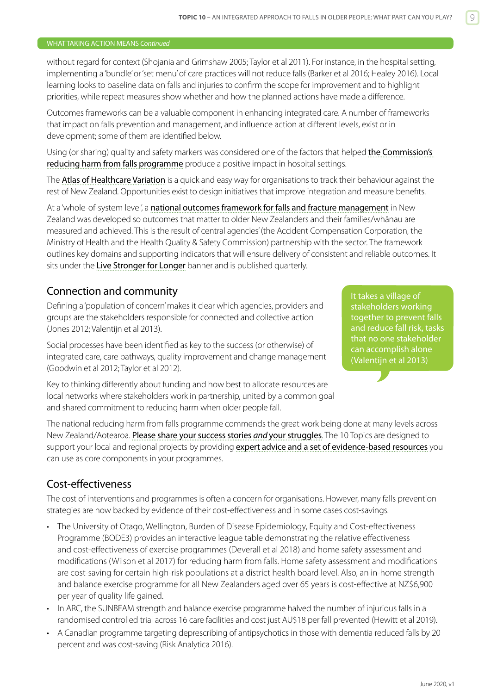#### WHAT TAKING ACTION MEANS *Continued*

without regard for context (Shojania and Grimshaw 2005; Taylor et al 2011). For instance, in the hospital setting, implementing a 'bundle' or 'set menu' of care practices will not reduce falls (Barker et al 2016; Healey 2016). Local learning looks to baseline data on falls and injuries to confirm the scope for improvement and to highlight priorities, while repeat measures show whether and how the planned actions have made a difference.

Outcomes frameworks can be a valuable component in enhancing integrated care. A number of frameworks that impact on falls prevention and management, and influence action at different levels, exist or in development; some of them are identified below.

Using (or sharing) quality and safety markers was considered one of the factors that helped the Commission's [reducing harm from falls programme](https://global-uploads.webflow.com/5e332a62c703f653182faf47/5e332a62c703f652292fd053_Shuker%20FINAL.pdf) produce a positive impact in hospital settings.

The [Atlas of Healthcare Variation](https://www.hqsc.govt.nz/our-programmes/health-quality-evaluation/projects/atlas-of-healthcare-variation/falls/) is a quick and easy way for organisations to track their behaviour against the rest of New Zealand. Opportunities exist to design initiatives that improve integration and measure benefits.

At a 'whole-of-system level', a [national outcomes framework for falls and fracture management](https://public.tableau.com/profile/hqi2803#!/vizhome/FallsFracturesOutcomesFramework/Landing) in New Zealand was developed so outcomes that matter to older New Zealanders and their families/whānau are measured and achieved. This is the result of central agencies' (the Accident Compensation Corporation, the Ministry of Health and the Health Quality & Safety Commission) partnership with the sector. The framework outlines key domains and supporting indicators that will ensure delivery of consistent and reliable outcomes. It sits under the [Live Stronger for Longer](http://www.livestronger.org.nz/) banner and is published quarterly.

#### Connection and community

Defining a 'population of concern' makes it clear which agencies, providers and groups are the stakeholders responsible for connected and collective action (Jones 2012; Valentijn et al 2013).

Social processes have been identified as key to the success (or otherwise) of integrated care, care pathways, quality improvement and change management (Goodwin et al 2012; Taylor et al 2012).

Key to thinking differently about funding and how best to allocate resources are local networks where stakeholders work in partnership, united by a common goal and shared commitment to reducing harm when older people fall.

It takes a village of stakeholders working together to prevent falls and reduce fall risk, tasks that no one stakeholder can accomplish alone (Valentijn et al 2013)

The national reducing harm from falls programme commends the great work being done at many levels across New Zealand/Aotearoa. [Please share your success stories](http://www.hqsc.govt.nz/our-programmes/reducing-harm-from-falls/publications-and-resources/publication/1446/) *and* your struggles. The 10 Topics are designed to support your local and regional projects by providing [expert advice and a set of evidence-based resources](http://www.hqsc.govt.nz/our-programmes/reducing-harm-from-falls/) you can use as core components in your programmes.

#### Cost-effectiveness

The cost of interventions and programmes is often a concern for organisations. However, many falls prevention strategies are now backed by evidence of their cost-effectiveness and in some cases cost-savings.

- The University of Otago, Wellington, Burden of Disease Epidemiology, Equity and Cost-effectiveness Programme (BODE3) provides an interactive league table demonstrating the relative effectiveness and cost-effectiveness of exercise programmes (Deverall et al 2018) and home safety assessment and modifications (Wilson et al 2017) for reducing harm from falls. Home safety assessment and modifications are cost-saving for certain high-risk populations at a district health board level. Also, an in-home strength and balance exercise programme for all New Zealanders aged over 65 years is cost-effective at NZ\$6,900 per year of quality life gained.
- In ARC, the SUNBEAM strength and balance exercise programme halved the number of injurious falls in a randomised controlled trial across 16 care facilities and cost just AU\$18 per fall prevented (Hewitt et al 2019).
- A Canadian programme targeting deprescribing of antipsychotics in those with dementia reduced falls by 20 percent and was cost-saving (Risk Analytica 2016).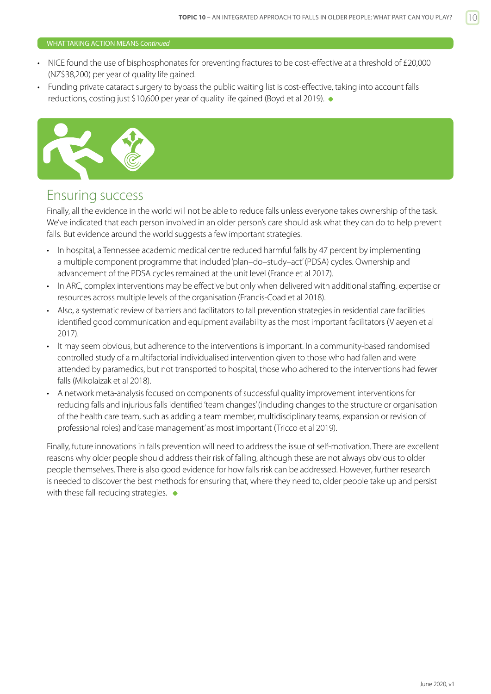#### <span id="page-9-0"></span>WHAT TAKING ACTION MEANS *Continued*

- NICE found the use of bisphosphonates for preventing fractures to be cost-effective at a threshold of £20,000 (NZ\$38,200) per year of quality life gained.
- Funding private cataract surgery to bypass the public waiting list is cost-effective, taking into account falls reductions, costing just \$10,600 per year of quality life gained (Boyd et al 2019).



## Ensuring success

Finally, all the evidence in the world will not be able to reduce falls unless everyone takes ownership of the task. We've indicated that each person involved in an older person's care should ask what they can do to help prevent falls. But evidence around the world suggests a few important strategies.

- In hospital, a Tennessee academic medical centre reduced harmful falls by 47 percent by implementing a multiple component programme that included 'plan–do–study–act' (PDSA) cycles. Ownership and advancement of the PDSA cycles remained at the unit level (France et al 2017).
- In ARC, complex interventions may be effective but only when delivered with additional staffing, expertise or resources across multiple levels of the organisation (Francis-Coad et al 2018).
- Also, a systematic review of barriers and facilitators to fall prevention strategies in residential care facilities identified good communication and equipment availability as the most important facilitators (Vlaeyen et al 2017).
- It may seem obvious, but adherence to the interventions is important. In a community-based randomised controlled study of a multifactorial individualised intervention given to those who had fallen and were attended by paramedics, but not transported to hospital, those who adhered to the interventions had fewer falls (Mikolaizak et al 2018).
- A network meta-analysis focused on components of successful quality improvement interventions for reducing falls and injurious falls identified 'team changes' (including changes to the structure or organisation of the health care team, such as adding a team member, multidisciplinary teams, expansion or revision of professional roles) and 'case management' as most important (Tricco et al 2019).

Finally, future innovations in falls prevention will need to address the issue of self-motivation. There are excellent reasons why older people should address their risk of falling, although these are not always obvious to older people themselves. There is also good evidence for how falls risk can be addressed. However, further research is needed to discover the best methods for ensuring that, where they need to, older people take up and persist with these fall-reducing strategies.  $\bullet$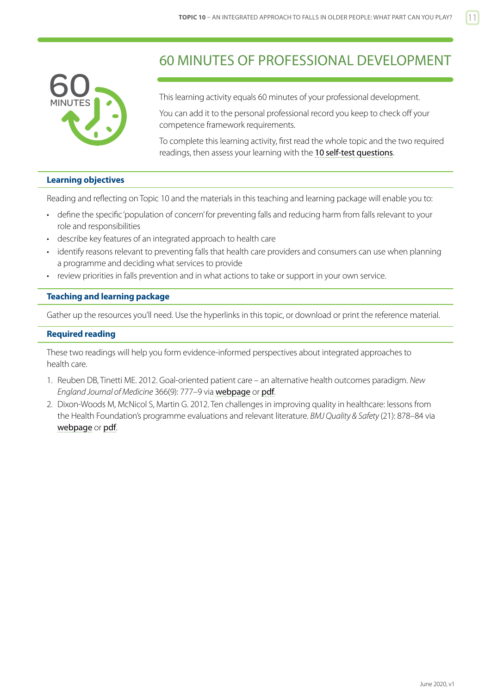<span id="page-10-0"></span>

## 60 MINUTES OF PROFESSIONAL DEVELOPMENT

This learning activity equals 60 minutes of your professional development.

You can add it to the personal professional record you keep to check off your competence framework requirements.

To complete this learning activity, first read the whole topic and the two required readings, then assess your learning with the [10 self-test questions](#page-12-0).

#### **Learning objectives**

Reading and reflecting on Topic 10 and the materials in this teaching and learning package will enable you to:

- define the specific 'population of concern' for preventing falls and reducing harm from falls relevant to your role and responsibilities
- describe key features of an integrated approach to health care
- identify reasons relevant to preventing falls that health care providers and consumers can use when planning a programme and deciding what services to provide
- review priorities in falls prevention and in what actions to take or support in your own service.

#### **Teaching and learning package**

Gather up the resources you'll need. Use the hyperlinks in this topic, or download or print the reference material.

#### **Required reading**

These two readings will help you form evidence-informed perspectives about integrated approaches to health care.

- 1. Reuben DB, Tinetti ME. 2012. Goal-oriented patient care an alternative health outcomes paradigm. *New England Journal of Medicine* 366(9): 777–9 via [webpage](https://pdfs.semanticscholar.org/a55c/99a7d3ad5a94b77c8ae170718757a81a054c.pdf) or [pdf](https://pdfs.semanticscholar.org/a55c/99a7d3ad5a94b77c8ae170718757a81a054c.pdf).
- 2. Dixon-Woods M, McNicol S, Martin G. 2012. Ten challenges in improving quality in healthcare: lessons from the Health Foundation's programme evaluations and relevant literature. *BMJ Quality & Safety* (21): 878–84 via [webpage](http://qualitysafety.bmj.com/content/21/10/876.full?keytype=ref&siteid=bmjjournals&ijkey=DcobUFjejK0YA) or [pdf](http://qualitysafety.bmj.com/content/21/10/876.full.pdf+html).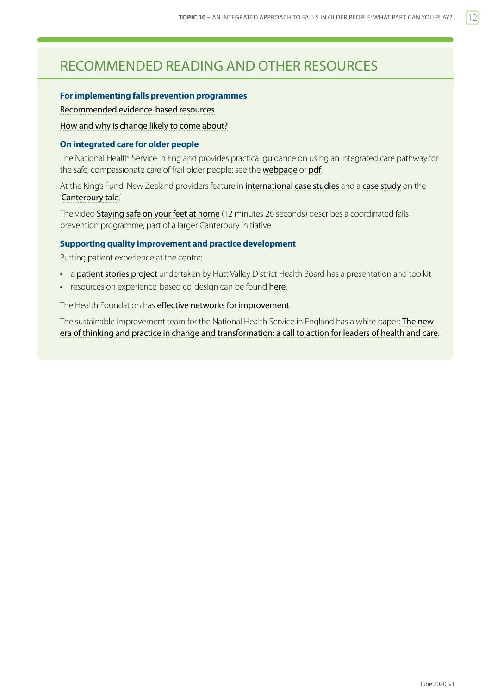## <span id="page-11-0"></span>RECOMMENDED READING AND OTHER RESOURCES

#### **For implementing falls prevention programmes**

[Recommended evidence-based resources](https://www.hqsc.govt.nz/our-programmes/reducing-harm-from-falls/recommended-resources/)

[How and why is change likely to come about?](http://www.hqsc.govt.nz/our-programmes/reducing-harm-from-falls/publications-and-resources/publication/1447/)

#### **On integrated care for older people**

The National Health Service in England provides practical guidance on using an integrated care pathway for the safe, compassionate care of frail older people: see the [webpage](http://www.england.nhs.uk/ourwork/pe/safe-care/) or [pdf](http://www.england.nhs.uk/wp-content/uploads/2014/02/safe-comp-care.pdf).

At the King's Fund, New Zealand providers feature in [international case studies](https://www.kingsfund.org.uk/publications/providing-integrated-care-older-people-complex-needs) and a [case study](https://www.kingsfund.org.uk/publications/quest-integrated-health-and-social-care) on the '[Canterbury tale](http://www.hsj.co.uk/opinion/canterbury-tale-making-a-success-of-integrated-care/5063073.article#.UjGfEX_lfPV).'

The video [Staying safe on your feet at home](http://www.open.hqsc.govt.nz/falls/publications-and-resources/publication/915/) (12 minutes 26 seconds) describes a coordinated falls prevention programme, part of a larger Canterbury initiative.

#### **Supporting quality improvement and practice development**

Putting patient experience at the centre:

- a [patient stories project](http://www.hqsc.govt.nz/our-programmes/other-topics/quality-and-safety-challenge-2012/projects/patient-stories/) undertaken by Hutt Valley District Health Board has a presentation and toolkit
- resources on experience-based co-design can be found [here](http://www.hqsc.govt.nz/our-programmes/consumer-engagement/work-streams/leadership-capability/co-design-partners-in-care/).

#### The Health Foundation has [effective networks for improvement](http://www.health.org.uk/publications/effective-networks-for-improvement/).

The sustainable improvement team for the National Health Service in England has a white paper: The new [era of thinking and practice in change and transformation: a call to action for leaders of health and care](http://aace.org.uk/wp-content/uploads/2014/08/nhsiq_white_paper.pdf).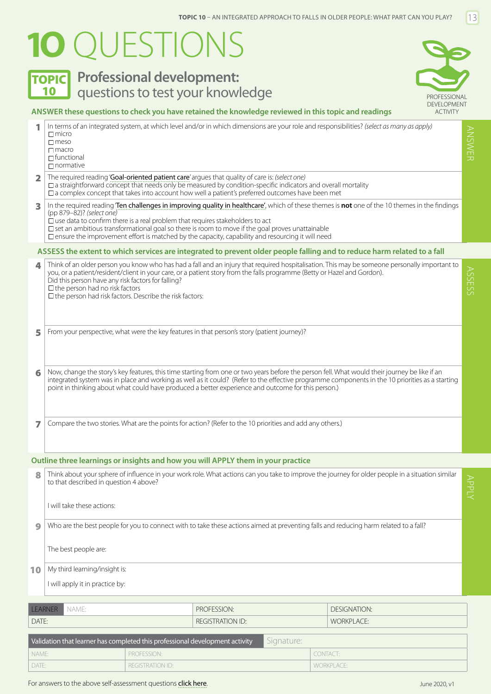# <span id="page-12-0"></span>**1O** QUESTIONS

## **TOPIC** Professional development: 10 **Questions to test your knowledge Example 20 ACC PROFESSIONAL**



#### **ANSWER these questions to check you have retained the knowledge reviewed in this topic and readings**

|   | In terms of an integrated system, at which level and/or in which dimensions are your role and responsibilities? (select as many as apply)<br>$\Box$ micro<br>$\Box$ meso<br>$\Box$ macro<br>$\Box$ functional<br>$\Box$ normative                                                                                                                                                                                                                                                             | ANSWER |
|---|-----------------------------------------------------------------------------------------------------------------------------------------------------------------------------------------------------------------------------------------------------------------------------------------------------------------------------------------------------------------------------------------------------------------------------------------------------------------------------------------------|--------|
| 2 | The required reading 'Goal-oriented patient care' argues that quality of care is: (select one)<br>$\square$ a straightforward concept that meeds only be measured by condition-specific indicators and overall mortality<br>$\square$ a complex concept that takes into account how well a patient's preferred outcomes have been met                                                                                                                                                         |        |
| 3 | In the required reading Ten challenges in improving quality in healthcare', which of these themes is not one of the 10 themes in the findings<br>(pp 879-82)? (select one)<br>$\Box$ use data to confirm there is a real problem that requires stakeholders to act<br>$\square$ set an ambitious transformational goal so there is room to move if the goal proves unattainable<br>$\square$ ensure the improvement effort is matched by the capacity, capability and resourcing it will need |        |
|   | ASSESS the extent to which services are integrated to prevent older people falling and to reduce harm related to a fall                                                                                                                                                                                                                                                                                                                                                                       |        |
| 4 | Think of an older person you know who has had a fall and an injury that required hospitalisation. This may be someone personally important to<br>you, or a patient/resident/client in your care, or a patient story from the falls programme (Betty or Hazel and Gordon).<br>Did this person have any risk factors for falling?<br>$\square$ the person had no risk factors<br>$\square$ the person had risk factors. Describe the risk factors:                                              | SSESS  |
| 5 | From your perspective, what were the key features in that person's story (patient journey)?                                                                                                                                                                                                                                                                                                                                                                                                   |        |
| 6 | Now, change the story's key features, this time starting from one or two years before the person fell. What would their journey be like if an<br>integrated system was in place and working as well as it could? (Refer to the effective programme components in the 10 priorities as a starting<br>point in thinking about what could have produced a better experience and outcome for this person.)                                                                                        |        |
| 7 | Compare the two stories. What are the points for action? (Refer to the 10 priorities and add any others.)                                                                                                                                                                                                                                                                                                                                                                                     |        |
|   | Outline three learnings or insights and how you will APPLY them in your practice                                                                                                                                                                                                                                                                                                                                                                                                              |        |
| 8 | Think about your sphere of influence in your work role. What actions can you take to improve the journey for older people in a situation similar<br>to that described in question 4 above?<br>I will take these actions:                                                                                                                                                                                                                                                                      | APPLY  |
|   |                                                                                                                                                                                                                                                                                                                                                                                                                                                                                               |        |

9 Who are the best people for you to connect with to take these actions aimed at preventing falls and reducing harm related to a fall?

The best people are:

#### 10 My third learning/insight is:

I will apply it in practice by:

| LEARNER NAME: | PROFESSION:             | <b>DESIGNATION:</b> |
|---------------|-------------------------|---------------------|
| DATE:         | <b>REGISTRATION ID:</b> | <b>WORKPLACE:</b>   |

| Validation that learner has completed this professional development activity |                         | Signature: |                   |
|------------------------------------------------------------------------------|-------------------------|------------|-------------------|
| I NAME:                                                                      | <b>PROFESSION:</b>      |            | CONTACT:          |
| <sup>1</sup> DATE:                                                           | <b>REGISTRATION ID:</b> |            | <b>WORKPLACE:</b> |